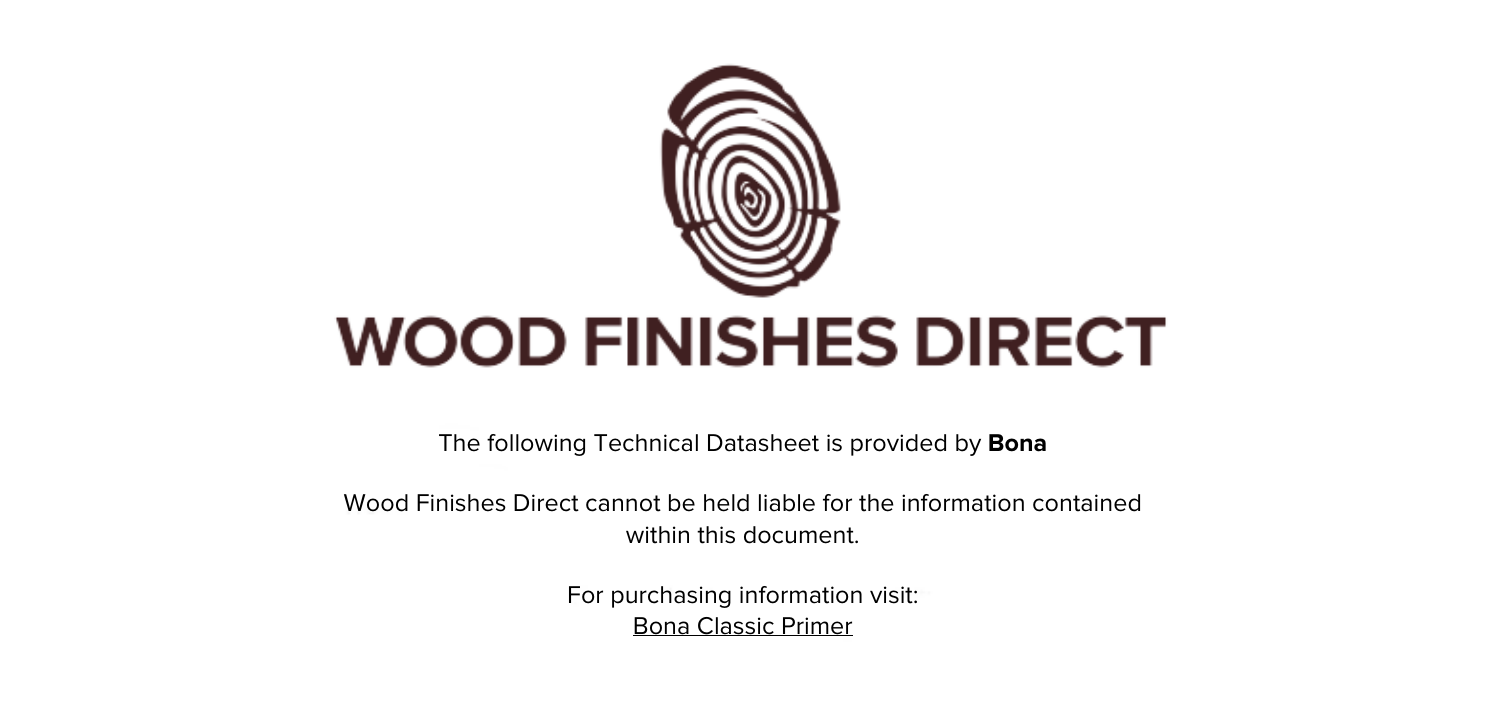

The following Technical Datasheet is provided by **Bona**

Wood Finishes Direct cannot be held liable for the information contained within this document

> For purchasing information visit: [Bona Classic Primer](https://www.wood-finishes-direct.com/product/bona-prime-classic)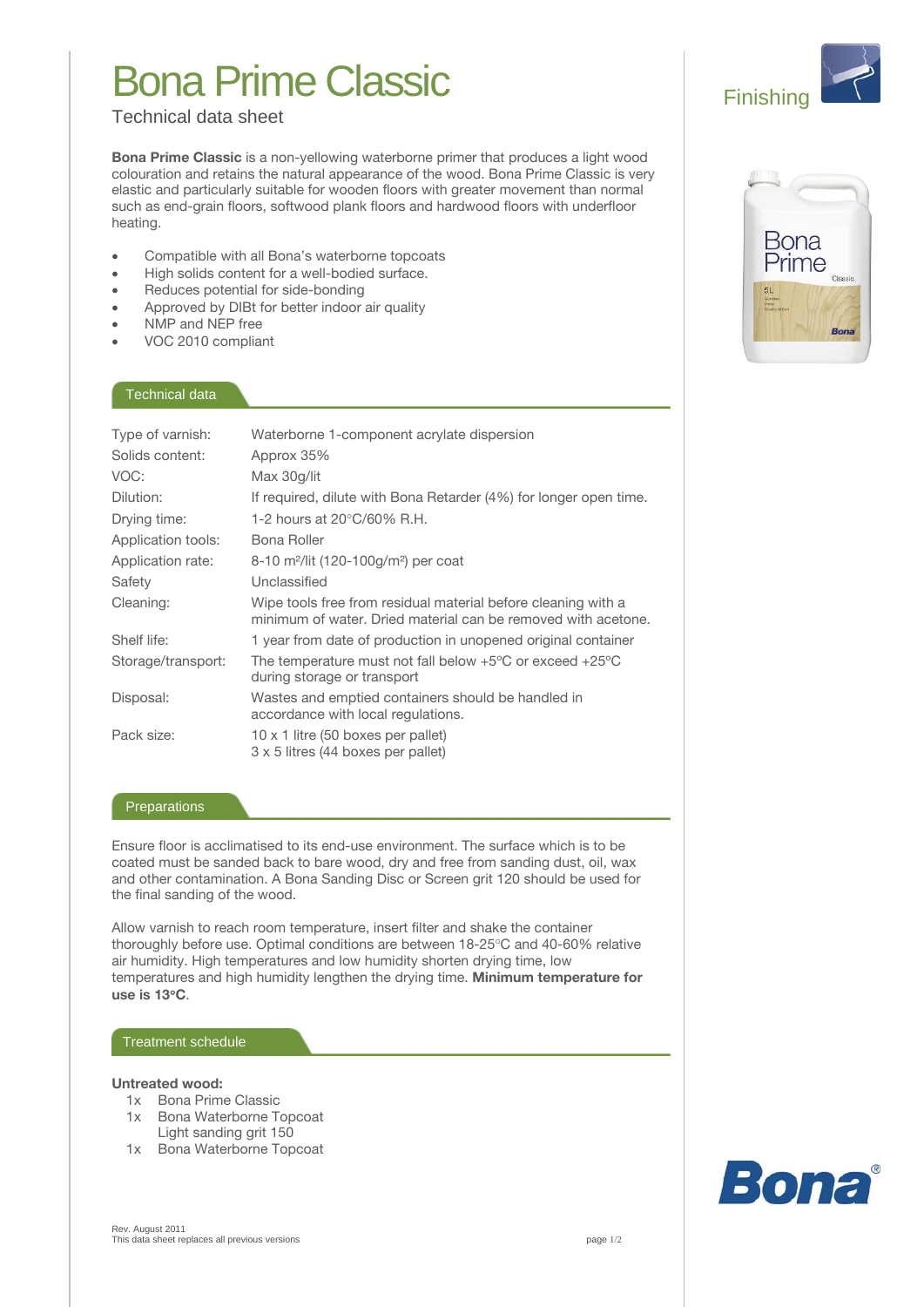# **Bona Prime Classic**

# **Technical data sheet**

Bona Prime Classic is a non-yellowing waterborne primer that produces a light wood colouration and retains the natural appearance of the wood. Bona Prime Classic is very elastic and particularly suitable for wooden floors with greater movement than normal such as end-grain floors, softwood plank floors and hardwood floors with underfloor heating.

- Compatible with all Bona's waterborne topcoats  $\bullet$
- High solids content for a well-bodied surface.
- Reduces potential for side-bonding
- Approved by DIBt for better indoor air quality  $\bullet$
- NMP and NEP free
- VOC 2010 compliant

### Technical data

| Type of varnish:<br>Solids content: | Waterborne 1-component acrylate dispersion<br>Approx 35%                                                                       |
|-------------------------------------|--------------------------------------------------------------------------------------------------------------------------------|
| VOC:                                | Max 30q/lit                                                                                                                    |
| Dilution:                           | If required, dilute with Bona Retarder (4%) for longer open time.                                                              |
| Drying time:                        | 1-2 hours at $20^{\circ}$ C/60% R.H.                                                                                           |
| Application tools:                  | Bona Roller                                                                                                                    |
| Application rate:                   | 8-10 m <sup>2</sup> /lit (120-100g/m <sup>2</sup> ) per coat                                                                   |
| Safety                              | Unclassified                                                                                                                   |
| Cleaning:                           | Wipe tools free from residual material before cleaning with a<br>minimum of water. Dried material can be removed with acetone. |
| Shelf life:                         | 1 year from date of production in unopened original container                                                                  |
| Storage/transport:                  | The temperature must not fall below $+5^{\circ}$ C or exceed $+25^{\circ}$ C<br>during storage or transport                    |
| Disposal:                           | Wastes and emptied containers should be handled in<br>accordance with local regulations.                                       |
| Pack size:                          | $10 \times 1$ litre (50 boxes per pallet)<br>3 x 5 litres (44 boxes per pallet)                                                |

## Preparations

Ensure floor is acclimatised to its end-use environment. The surface which is to be coated must be sanded back to bare wood, dry and free from sanding dust, oil, wax and other contamination. A Bona Sanding Disc or Screen grit 120 should be used for the final sanding of the wood.

Allow varnish to reach room temperature, insert filter and shake the container thoroughly before use. Optimal conditions are between 18-25°C and 40-60% relative air humidity. High temperatures and low humidity shorten drying time, low temperatures and high humidity lengthen the drying time. Minimum temperature for use is 13°C.

### Treatment schedule

### Untreated wood:

- 1x Bona Prime Classic
- 1x Bona Waterborne Topcoat Light sanding grit 150
- 1x Bona Waterborne Topcoat